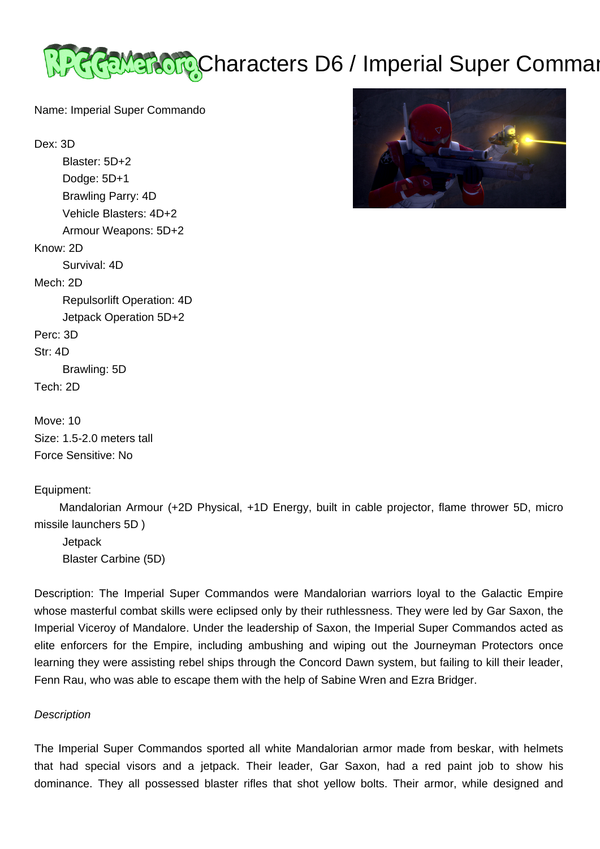

Name: Imperial Super Commando

Dex: 3D

 Blaster: 5D+2 Dodge: 5D+1 Brawling Parry: 4D Vehicle Blasters: 4D+2 Armour Weapons: 5D+2 Know: 2D Survival: 4D Mech: 2D Repulsorlift Operation: 4D Jetpack Operation 5D+2 Perc: 3D Str: 4D Brawling: 5D Tech: 2D

Move: 10 Size: 1.5-2.0 meters tall Force Sensitive: No

Equipment:



 Mandalorian Armour (+2D Physical, +1D Energy, built in cable projector, flame thrower 5D, micro missile launchers 5D )

**Jetpack** Blaster Carbine (5D)

Description: The Imperial Super Commandos were Mandalorian warriors loyal to the Galactic Empire whose masterful combat skills were eclipsed only by their ruthlessness. They were led by Gar Saxon, the Imperial Viceroy of Mandalore. Under the leadership of Saxon, the Imperial Super Commandos acted as elite enforcers for the Empire, including ambushing and wiping out the Journeyman Protectors once learning they were assisting rebel ships through the Concord Dawn system, but failing to kill their leader, Fenn Rau, who was able to escape them with the help of Sabine Wren and Ezra Bridger.

## **Description**

The Imperial Super Commandos sported all white Mandalorian armor made from beskar, with helmets that had special visors and a jetpack. Their leader, Gar Saxon, had a red paint job to show his dominance. They all possessed blaster rifles that shot yellow bolts. Their armor, while designed and